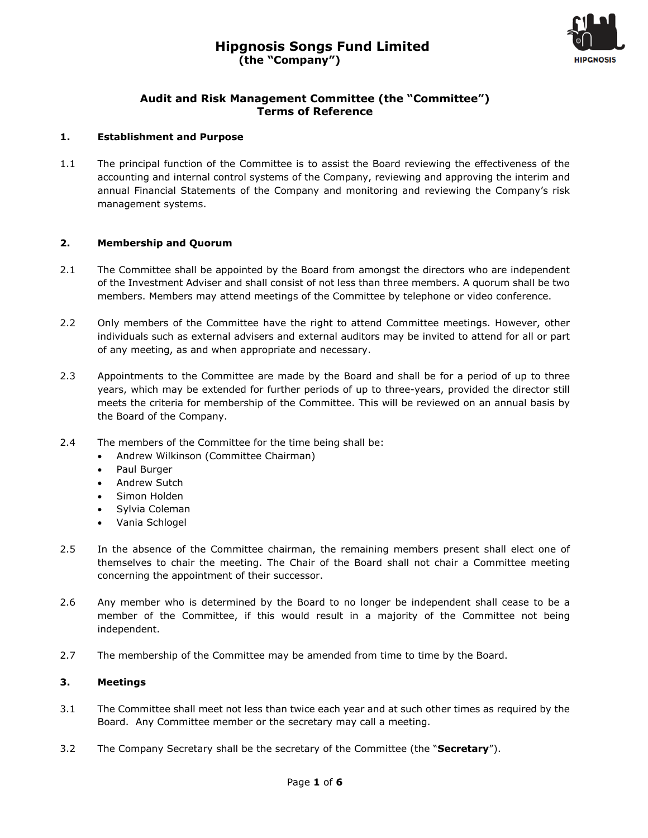

# **Audit and Risk Management Committee (the "Committee") Terms of Reference**

### **1. Establishment and Purpose**

1.1 The principal function of the Committee is to assist the Board reviewing the effectiveness of the accounting and internal control systems of the Company, reviewing and approving the interim and annual Financial Statements of the Company and monitoring and reviewing the Company's risk management systems.

### **2. Membership and Quorum**

- 2.1 The Committee shall be appointed by the Board from amongst the directors who are independent of the Investment Adviser and shall consist of not less than three members. A quorum shall be two members. Members may attend meetings of the Committee by telephone or video conference.
- 2.2 Only members of the Committee have the right to attend Committee meetings. However, other individuals such as external advisers and external auditors may be invited to attend for all or part of any meeting, as and when appropriate and necessary.
- 2.3 Appointments to the Committee are made by the Board and shall be for a period of up to three years, which may be extended for further periods of up to three-years, provided the director still meets the criteria for membership of the Committee. This will be reviewed on an annual basis by the Board of the Company.
- 2.4 The members of the Committee for the time being shall be:
	- Andrew Wilkinson (Committee Chairman)
	- Paul Burger
	- Andrew Sutch
	- Simon Holden
	- Sylvia Coleman
	- Vania Schlogel
- 2.5 In the absence of the Committee chairman, the remaining members present shall elect one of themselves to chair the meeting. The Chair of the Board shall not chair a Committee meeting concerning the appointment of their successor.
- 2.6 Any member who is determined by the Board to no longer be independent shall cease to be a member of the Committee, if this would result in a majority of the Committee not being independent.
- 2.7 The membership of the Committee may be amended from time to time by the Board.

# **3. Meetings**

- 3.1 The Committee shall meet not less than twice each year and at such other times as required by the Board. Any Committee member or the secretary may call a meeting.
- 3.2 The Company Secretary shall be the secretary of the Committee (the "**Secretary**").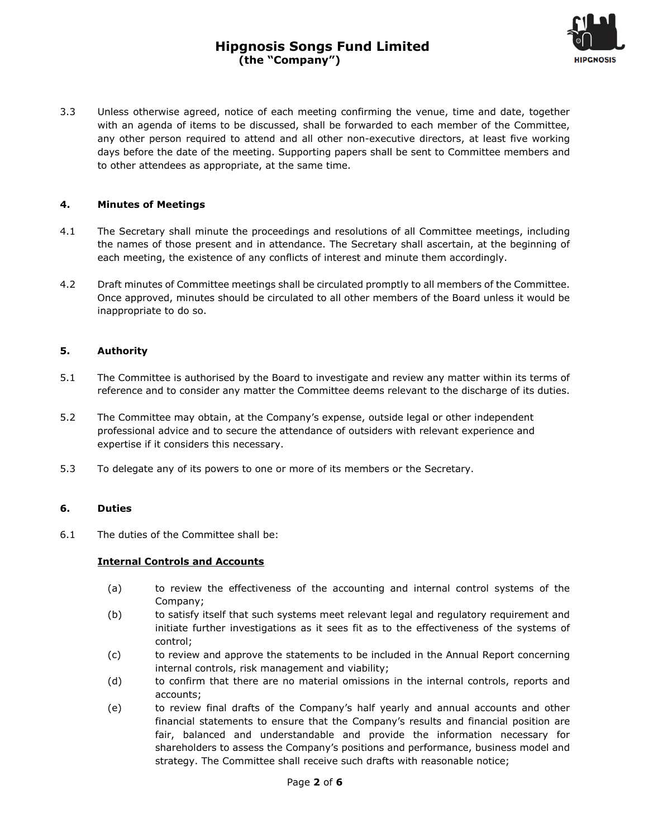

3.3 Unless otherwise agreed, notice of each meeting confirming the venue, time and date, together with an agenda of items to be discussed, shall be forwarded to each member of the Committee, any other person required to attend and all other non-executive directors, at least five working days before the date of the meeting. Supporting papers shall be sent to Committee members and to other attendees as appropriate, at the same time.

### **4. Minutes of Meetings**

- 4.1 The Secretary shall minute the proceedings and resolutions of all Committee meetings, including the names of those present and in attendance. The Secretary shall ascertain, at the beginning of each meeting, the existence of any conflicts of interest and minute them accordingly.
- 4.2 Draft minutes of Committee meetings shall be circulated promptly to all members of the Committee. Once approved, minutes should be circulated to all other members of the Board unless it would be inappropriate to do so.

### **5. Authority**

- 5.1 The Committee is authorised by the Board to investigate and review any matter within its terms of reference and to consider any matter the Committee deems relevant to the discharge of its duties.
- 5.2 The Committee may obtain, at the Company's expense, outside legal or other independent professional advice and to secure the attendance of outsiders with relevant experience and expertise if it considers this necessary.
- 5.3 To delegate any of its powers to one or more of its members or the Secretary.

### **6. Duties**

6.1 The duties of the Committee shall be:

### **Internal Controls and Accounts**

- (a) to review the effectiveness of the accounting and internal control systems of the Company;
- (b) to satisfy itself that such systems meet relevant legal and regulatory requirement and initiate further investigations as it sees fit as to the effectiveness of the systems of control;
- (c) to review and approve the statements to be included in the Annual Report concerning internal controls, risk management and viability;
- (d) to confirm that there are no material omissions in the internal controls, reports and accounts;
- (e) to review final drafts of the Company's half yearly and annual accounts and other financial statements to ensure that the Company's results and financial position are fair, balanced and understandable and provide the information necessary for shareholders to assess the Company's positions and performance, business model and strategy. The Committee shall receive such drafts with reasonable notice;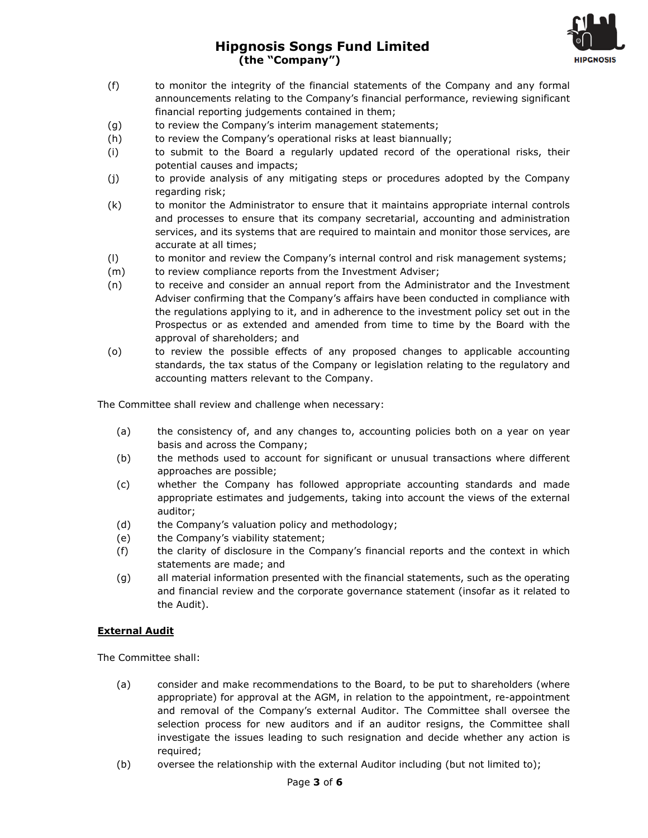# **Hipgnosis Songs Fund Limited (the "Company")**



- (f) to monitor the integrity of the financial statements of the Company and any formal announcements relating to the Company's financial performance, reviewing significant financial reporting judgements contained in them;
- (g) to review the Company's interim management statements;
- (h) to review the Company's operational risks at least biannually;
- (i) to submit to the Board a regularly updated record of the operational risks, their potential causes and impacts;
- (j) to provide analysis of any mitigating steps or procedures adopted by the Company regarding risk;
- (k) to monitor the Administrator to ensure that it maintains appropriate internal controls and processes to ensure that its company secretarial, accounting and administration services, and its systems that are required to maintain and monitor those services, are accurate at all times;
- (l) to monitor and review the Company's internal control and risk management systems;
- (m) to review compliance reports from the Investment Adviser;
- (n) to receive and consider an annual report from the Administrator and the Investment Adviser confirming that the Company's affairs have been conducted in compliance with the regulations applying to it, and in adherence to the investment policy set out in the Prospectus or as extended and amended from time to time by the Board with the approval of shareholders; and
- (o) to review the possible effects of any proposed changes to applicable accounting standards, the tax status of the Company or legislation relating to the regulatory and accounting matters relevant to the Company.

The Committee shall review and challenge when necessary:

- (a) the consistency of, and any changes to, accounting policies both on a year on year basis and across the Company;
- (b) the methods used to account for significant or unusual transactions where different approaches are possible;
- (c) whether the Company has followed appropriate accounting standards and made appropriate estimates and judgements, taking into account the views of the external auditor;
- (d) the Company's valuation policy and methodology;
- (e) the Company's viability statement;
- (f) the clarity of disclosure in the Company's financial reports and the context in which statements are made; and
- (g) all material information presented with the financial statements, such as the operating and financial review and the corporate governance statement (insofar as it related to the Audit).

### **External Audit**

The Committee shall:

- (a) consider and make recommendations to the Board, to be put to shareholders (where appropriate) for approval at the AGM, in relation to the appointment, re-appointment and removal of the Company's external Auditor. The Committee shall oversee the selection process for new auditors and if an auditor resigns, the Committee shall investigate the issues leading to such resignation and decide whether any action is required;
- (b) oversee the relationship with the external Auditor including (but not limited to);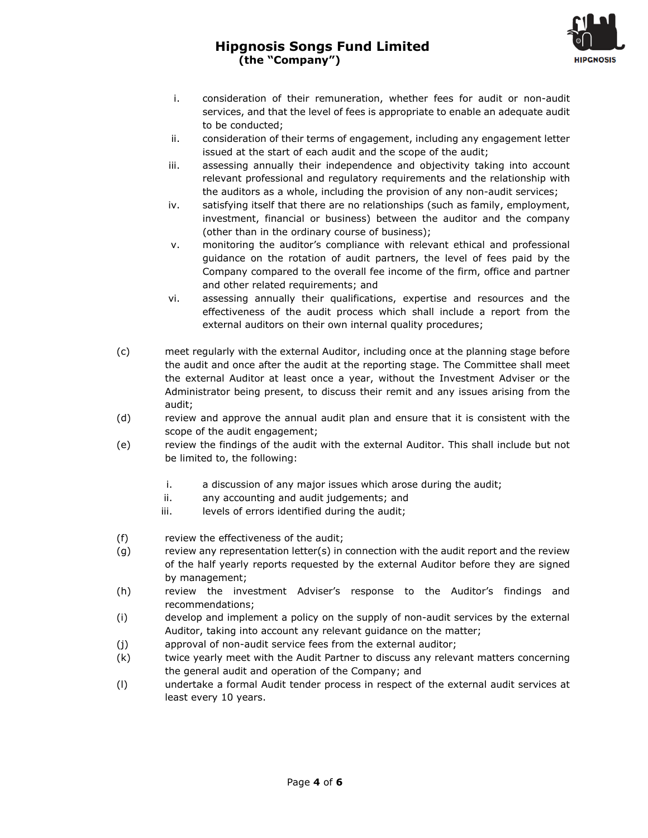# **Hipgnosis Songs Fund Limited (the "Company")**



- i. consideration of their remuneration, whether fees for audit or non-audit services, and that the level of fees is appropriate to enable an adequate audit to be conducted;
- ii. consideration of their terms of engagement, including any engagement letter issued at the start of each audit and the scope of the audit;
- iii. assessing annually their independence and objectivity taking into account relevant professional and regulatory requirements and the relationship with the auditors as a whole, including the provision of any non-audit services;
- iv. satisfying itself that there are no relationships (such as family, employment, investment, financial or business) between the auditor and the company (other than in the ordinary course of business);
- v. monitoring the auditor's compliance with relevant ethical and professional guidance on the rotation of audit partners, the level of fees paid by the Company compared to the overall fee income of the firm, office and partner and other related requirements; and
- vi. assessing annually their qualifications, expertise and resources and the effectiveness of the audit process which shall include a report from the external auditors on their own internal quality procedures;
- (c) meet regularly with the external Auditor, including once at the planning stage before the audit and once after the audit at the reporting stage. The Committee shall meet the external Auditor at least once a year, without the Investment Adviser or the Administrator being present, to discuss their remit and any issues arising from the audit;
- (d) review and approve the annual audit plan and ensure that it is consistent with the scope of the audit engagement;
- (e) review the findings of the audit with the external Auditor. This shall include but not be limited to, the following:
	- i. a discussion of any major issues which arose during the audit;
	- ii. any accounting and audit judgements; and
	- iii. levels of errors identified during the audit;
- (f) review the effectiveness of the audit;
- (g) review any representation letter(s) in connection with the audit report and the review of the half yearly reports requested by the external Auditor before they are signed by management;
- (h) review the investment Adviser's response to the Auditor's findings and recommendations;
- (i) develop and implement a policy on the supply of non-audit services by the external Auditor, taking into account any relevant guidance on the matter;
- (j) approval of non-audit service fees from the external auditor;
- (k) twice yearly meet with the Audit Partner to discuss any relevant matters concerning the general audit and operation of the Company; and
- (l) undertake a formal Audit tender process in respect of the external audit services at least every 10 years.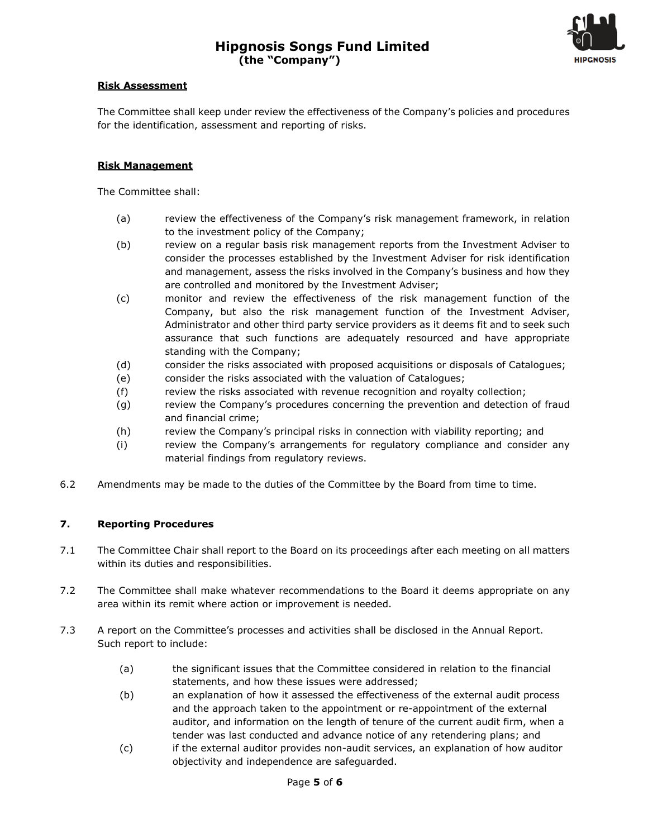

### **Risk Assessment**

The Committee shall keep under review the effectiveness of the Company's policies and procedures for the identification, assessment and reporting of risks.

### **Risk Management**

The Committee shall:

- (a) review the effectiveness of the Company's risk management framework, in relation to the investment policy of the Company;
- (b) review on a regular basis risk management reports from the Investment Adviser to consider the processes established by the Investment Adviser for risk identification and management, assess the risks involved in the Company's business and how they are controlled and monitored by the Investment Adviser;
- (c) monitor and review the effectiveness of the risk management function of the Company, but also the risk management function of the Investment Adviser, Administrator and other third party service providers as it deems fit and to seek such assurance that such functions are adequately resourced and have appropriate standing with the Company;
- (d) consider the risks associated with proposed acquisitions or disposals of Catalogues;
- (e) consider the risks associated with the valuation of Catalogues;
- (f) review the risks associated with revenue recognition and royalty collection;
- (g) review the Company's procedures concerning the prevention and detection of fraud and financial crime;
- (h) review the Company's principal risks in connection with viability reporting; and
- (i) review the Company's arrangements for regulatory compliance and consider any material findings from regulatory reviews.
- 6.2 Amendments may be made to the duties of the Committee by the Board from time to time.

# **7. Reporting Procedures**

- 7.1 The Committee Chair shall report to the Board on its proceedings after each meeting on all matters within its duties and responsibilities.
- 7.2 The Committee shall make whatever recommendations to the Board it deems appropriate on any area within its remit where action or improvement is needed.
- 7.3 A report on the Committee's processes and activities shall be disclosed in the Annual Report. Such report to include:
	- (a) the significant issues that the Committee considered in relation to the financial statements, and how these issues were addressed;
	- (b) an explanation of how it assessed the effectiveness of the external audit process and the approach taken to the appointment or re-appointment of the external auditor, and information on the length of tenure of the current audit firm, when a tender was last conducted and advance notice of any retendering plans; and
	- (c) if the external auditor provides non-audit services, an explanation of how auditor objectivity and independence are safeguarded.